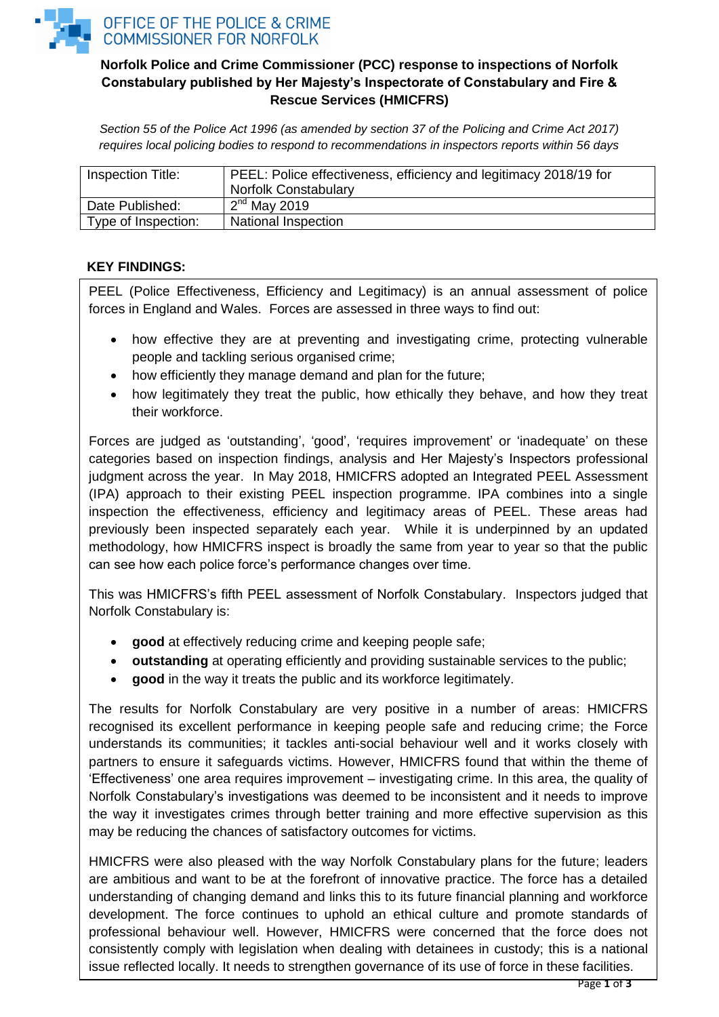

# **Norfolk Police and Crime Commissioner (PCC) response to inspections of Norfolk Constabulary published by Her Majesty's Inspectorate of Constabulary and Fire & Rescue Services (HMICFRS)**

*Section 55 of the Police Act 1996 (as amended by section 37 of the Policing and Crime Act 2017) requires local policing bodies to respond to recommendations in inspectors reports within 56 days*

| Inspection Title:   | PEEL: Police effectiveness, efficiency and legitimacy 2018/19 for |
|---------------------|-------------------------------------------------------------------|
|                     | <b>Norfolk Constabulary</b>                                       |
| Date Published:     | $2nd$ May 2019                                                    |
| Type of Inspection: | National Inspection                                               |

### **KEY FINDINGS:**

PEEL (Police Effectiveness, Efficiency and Legitimacy) is an annual assessment of police forces in England and Wales. Forces are assessed in three ways to find out:

- how effective they are at preventing and investigating crime, protecting vulnerable people and tackling serious organised crime;
- how efficiently they manage demand and plan for the future;
- how legitimately they treat the public, how ethically they behave, and how they treat their workforce.

Forces are judged as 'outstanding', 'good', 'requires improvement' or 'inadequate' on these categories based on inspection findings, analysis and Her Majesty's Inspectors professional judgment across the year. In May 2018, HMICFRS adopted an Integrated PEEL Assessment (IPA) approach to their existing PEEL inspection programme. IPA combines into a single inspection the effectiveness, efficiency and legitimacy areas of PEEL. These areas had previously been inspected separately each year. While it is underpinned by an updated methodology, how HMICFRS inspect is broadly the same from year to year so that the public can see how each police force's performance changes over time.

This was HMICFRS's fifth PEEL assessment of Norfolk Constabulary. Inspectors judged that Norfolk Constabulary is:

- **good** at effectively reducing crime and keeping people safe;
- **outstanding** at operating efficiently and providing sustainable services to the public;
- **good** in the way it treats the public and its workforce legitimately.

The results for Norfolk Constabulary are very positive in a number of areas: HMICFRS recognised its excellent performance in keeping people safe and reducing crime; the Force understands its communities; it tackles anti-social behaviour well and it works closely with partners to ensure it safeguards victims. However, HMICFRS found that within the theme of 'Effectiveness' one area requires improvement – investigating crime. In this area, the quality of Norfolk Constabulary's investigations was deemed to be inconsistent and it needs to improve the way it investigates crimes through better training and more effective supervision as this may be reducing the chances of satisfactory outcomes for victims.

HMICFRS were also pleased with the way Norfolk Constabulary plans for the future; leaders are ambitious and want to be at the forefront of innovative practice. The force has a detailed understanding of changing demand and links this to its future financial planning and workforce development. The force continues to uphold an ethical culture and promote standards of professional behaviour well. However, HMICFRS were concerned that the force does not consistently comply with legislation when dealing with detainees in custody; this is a national issue reflected locally. It needs to strengthen governance of its use of force in these facilities.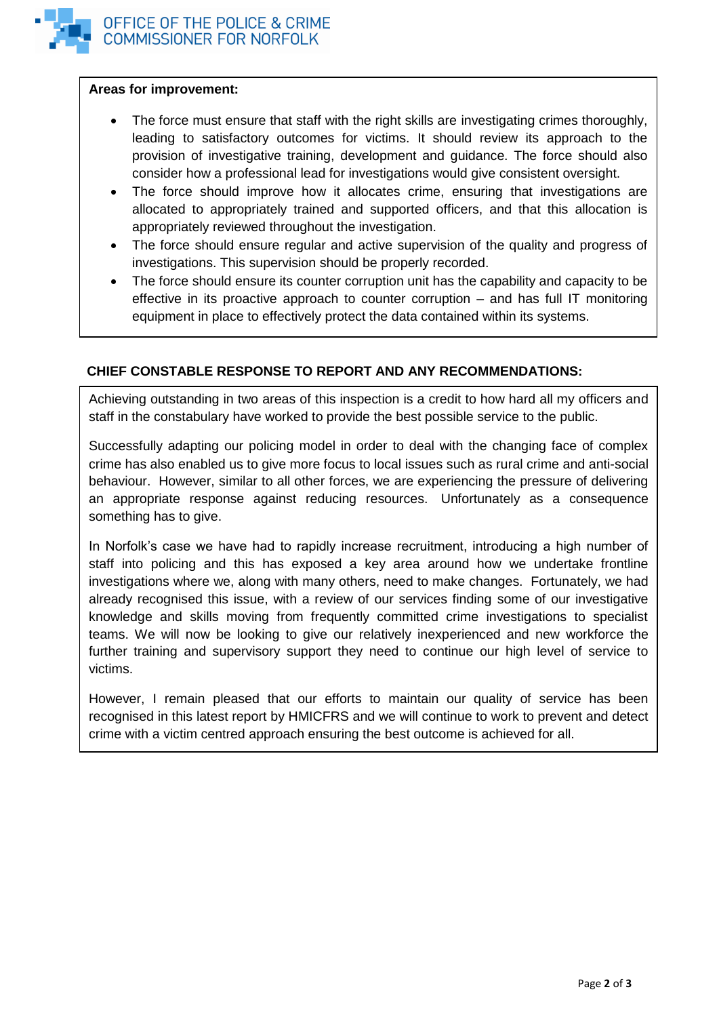

#### **Areas for improvement:**

- The force must ensure that staff with the right skills are investigating crimes thoroughly, leading to satisfactory outcomes for victims. It should review its approach to the provision of investigative training, development and guidance. The force should also consider how a professional lead for investigations would give consistent oversight.
- The force should improve how it allocates crime, ensuring that investigations are allocated to appropriately trained and supported officers, and that this allocation is appropriately reviewed throughout the investigation.
- The force should ensure regular and active supervision of the quality and progress of investigations. This supervision should be properly recorded.
- The force should ensure its counter corruption unit has the capability and capacity to be effective in its proactive approach to counter corruption – and has full IT monitoring equipment in place to effectively protect the data contained within its systems.

# **CHIEF CONSTABLE RESPONSE TO REPORT AND ANY RECOMMENDATIONS:**

Achieving outstanding in two areas of this inspection is a credit to how hard all my officers and staff in the constabulary have worked to provide the best possible service to the public.

Successfully adapting our policing model in order to deal with the changing face of complex crime has also enabled us to give more focus to local issues such as rural crime and anti-social behaviour. However, similar to all other forces, we are experiencing the pressure of delivering an appropriate response against reducing resources. Unfortunately as a consequence something has to give.

In Norfolk's case we have had to rapidly increase recruitment, introducing a high number of staff into policing and this has exposed a key area around how we undertake frontline investigations where we, along with many others, need to make changes. Fortunately, we had already recognised this issue, with a review of our services finding some of our investigative knowledge and skills moving from frequently committed crime investigations to specialist teams. We will now be looking to give our relatively inexperienced and new workforce the further training and supervisory support they need to continue our high level of service to victims.

However, I remain pleased that our efforts to maintain our quality of service has been recognised in this latest report by HMICFRS and we will continue to work to prevent and detect crime with a victim centred approach ensuring the best outcome is achieved for all.